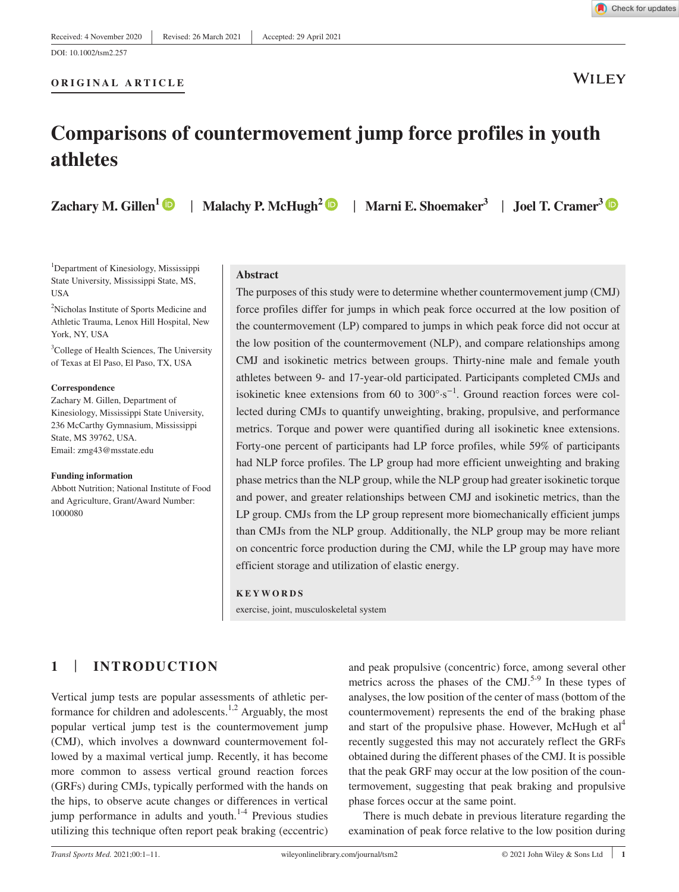#### **ORIGINAL ARTICLE**



# **Comparisons of countermovement jump force profiles in youth athletes**

**Zachary M. Gillen<sup>[1](https://orcid.org/0000-0001-7976-6161)</sup>**  $\bullet$  **| Malachy P. McHugh<sup>[2](https://orcid.org/0000-0002-8371-8151)</sup>**  $\bullet$  **| Marni E. Shoemaker<sup>[3](https://orcid.org/0000-0002-5270-9359)</sup> | Joel T. Cramer<sup>3</sup>**  $\bullet$ 

<sup>1</sup>Department of Kinesiology, Mississippi State University, Mississippi State, MS, USA

<sup>2</sup>Nicholas Institute of Sports Medicine and Athletic Trauma, Lenox Hill Hospital, New York, NY, USA

<sup>3</sup>College of Health Sciences, The University of Texas at El Paso, El Paso, TX, USA

#### **Correspondence**

Zachary M. Gillen, Department of Kinesiology, Mississippi State University, 236 McCarthy Gymnasium, Mississippi State, MS 39762, USA. Email: [zmg43@msstate.edu](mailto:zmg43@msstate.edu)

#### **Funding information**

Abbott Nutrition; National Institute of Food and Agriculture, Grant/Award Number: 1000080

#### **Abstract**

The purposes of this study were to determine whether countermovement jump (CMJ) force profiles differ for jumps in which peak force occurred at the low position of the countermovement (LP) compared to jumps in which peak force did not occur at the low position of the countermovement (NLP), and compare relationships among CMJ and isokinetic metrics between groups. Thirty-nine male and female youth athletes between 9- and 17-year-old participated. Participants completed CMJs and isokinetic knee extensions from 60 to 300°·s−1. Ground reaction forces were collected during CMJs to quantify unweighting, braking, propulsive, and performance metrics. Torque and power were quantified during all isokinetic knee extensions. Forty-one percent of participants had LP force profiles, while 59% of participants had NLP force profiles. The LP group had more efficient unweighting and braking phase metrics than the NLP group, while the NLP group had greater isokinetic torque and power, and greater relationships between CMJ and isokinetic metrics, than the LP group. CMJs from the LP group represent more biomechanically efficient jumps than CMJs from the NLP group. Additionally, the NLP group may be more reliant on concentric force production during the CMJ, while the LP group may have more efficient storage and utilization of elastic energy.

#### **KEYWORDS**

exercise, joint, musculoskeletal system

### **1** | **INTRODUCTION**

Vertical jump tests are popular assessments of athletic performance for children and adolescents.<sup>1,2</sup> Arguably, the most popular vertical jump test is the countermovement jump (CMJ), which involves a downward countermovement followed by a maximal vertical jump. Recently, it has become more common to assess vertical ground reaction forces (GRFs) during CMJs, typically performed with the hands on the hips, to observe acute changes or differences in vertical jump performance in adults and youth. $1-4$  Previous studies utilizing this technique often report peak braking (eccentric)

and peak propulsive (concentric) force, among several other metrics across the phases of the  $CMJ<sup>5-9</sup>$  In these types of analyses, the low position of the center of mass (bottom of the countermovement) represents the end of the braking phase and start of the propulsive phase. However, McHugh et al<sup>4</sup> recently suggested this may not accurately reflect the GRFs obtained during the different phases of the CMJ. It is possible that the peak GRF may occur at the low position of the countermovement, suggesting that peak braking and propulsive phase forces occur at the same point.

There is much debate in previous literature regarding the examination of peak force relative to the low position during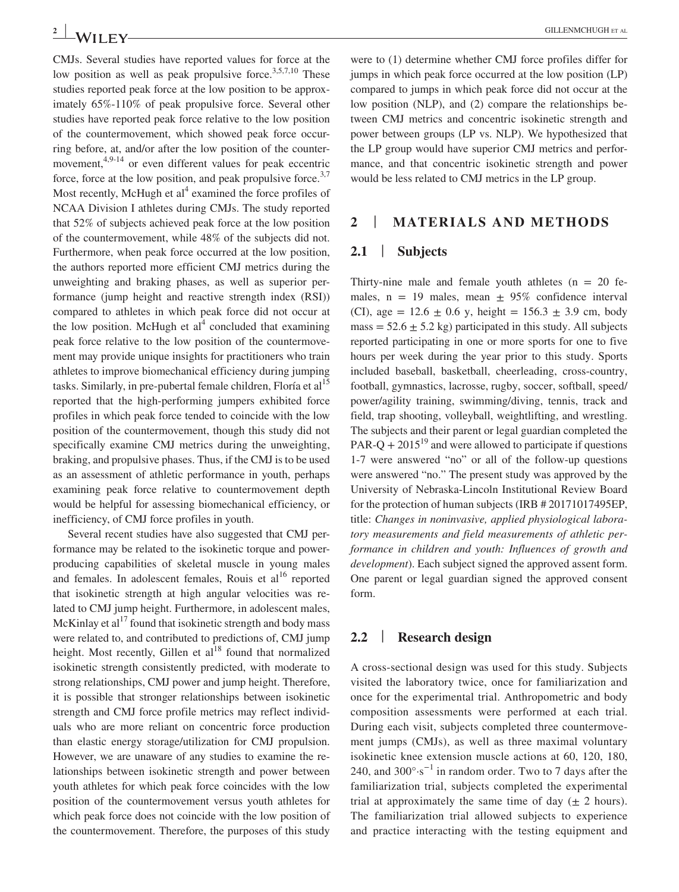CMJs. Several studies have reported values for force at the low position as well as peak propulsive force.<sup>3,5,7,10</sup> These studies reported peak force at the low position to be approximately 65%-110% of peak propulsive force. Several other studies have reported peak force relative to the low position of the countermovement, which showed peak force occurring before, at, and/or after the low position of the countermovement,<sup>4,9-14</sup> or even different values for peak eccentric force, force at the low position, and peak propulsive force.<sup>3,7</sup> Most recently, McHugh et  $al<sup>4</sup>$  examined the force profiles of NCAA Division I athletes during CMJs. The study reported that 52% of subjects achieved peak force at the low position of the countermovement, while 48% of the subjects did not. Furthermore, when peak force occurred at the low position, the authors reported more efficient CMJ metrics during the unweighting and braking phases, as well as superior performance (jump height and reactive strength index (RSI)) compared to athletes in which peak force did not occur at the low position. McHugh et  $al<sup>4</sup>$  concluded that examining peak force relative to the low position of the countermovement may provide unique insights for practitioners who train athletes to improve biomechanical efficiency during jumping tasks. Similarly, in pre-pubertal female children, Floría et al<sup>15</sup> reported that the high-performing jumpers exhibited force profiles in which peak force tended to coincide with the low position of the countermovement, though this study did not specifically examine CMJ metrics during the unweighting, braking, and propulsive phases. Thus, if the CMJ is to be used as an assessment of athletic performance in youth, perhaps examining peak force relative to countermovement depth would be helpful for assessing biomechanical efficiency, or inefficiency, of CMJ force profiles in youth.

Several recent studies have also suggested that CMJ performance may be related to the isokinetic torque and powerproducing capabilities of skeletal muscle in young males and females. In adolescent females, Rouis et  $al<sup>16</sup>$  reported that isokinetic strength at high angular velocities was related to CMJ jump height. Furthermore, in adolescent males, McKinlay et  $al<sup>17</sup>$  found that isokinetic strength and body mass were related to, and contributed to predictions of, CMJ jump height. Most recently, Gillen et  $al<sup>18</sup>$  found that normalized isokinetic strength consistently predicted, with moderate to strong relationships, CMJ power and jump height. Therefore, it is possible that stronger relationships between isokinetic strength and CMJ force profile metrics may reflect individuals who are more reliant on concentric force production than elastic energy storage/utilization for CMJ propulsion. However, we are unaware of any studies to examine the relationships between isokinetic strength and power between youth athletes for which peak force coincides with the low position of the countermovement versus youth athletes for which peak force does not coincide with the low position of the countermovement. Therefore, the purposes of this study

were to (1) determine whether CMJ force profiles differ for jumps in which peak force occurred at the low position (LP) compared to jumps in which peak force did not occur at the low position (NLP), and (2) compare the relationships between CMJ metrics and concentric isokinetic strength and power between groups (LP vs. NLP). We hypothesized that the LP group would have superior CMJ metrics and performance, and that concentric isokinetic strength and power would be less related to CMJ metrics in the LP group.

### **2** | **MATERIALS AND METHODS**

#### **2.1** | **Subjects**

Thirty-nine male and female youth athletes  $(n = 20$  females,  $n = 19$  males, mean  $\pm 95\%$  confidence interval (CI), age =  $12.6 \pm 0.6$  y, height =  $156.3 \pm 3.9$  cm, body mass  $= 52.6 \pm 5.2$  kg) participated in this study. All subjects reported participating in one or more sports for one to five hours per week during the year prior to this study. Sports included baseball, basketball, cheerleading, cross-country, football, gymnastics, lacrosse, rugby, soccer, softball, speed/ power/agility training, swimming/diving, tennis, track and field, trap shooting, volleyball, weightlifting, and wrestling. The subjects and their parent or legal guardian completed the PAR-Q +  $2015^{19}$  and were allowed to participate if questions 1-7 were answered "no" or all of the follow-up questions were answered "no." The present study was approved by the University of Nebraska-Lincoln Institutional Review Board for the protection of human subjects (IRB # 20171017495EP, title: *Changes in noninvasive, applied physiological laboratory measurements and field measurements of athletic performance in children and youth: Influences of growth and development*). Each subject signed the approved assent form. One parent or legal guardian signed the approved consent form.

#### **2.2** | **Research design**

A cross-sectional design was used for this study. Subjects visited the laboratory twice, once for familiarization and once for the experimental trial. Anthropometric and body composition assessments were performed at each trial. During each visit, subjects completed three countermovement jumps (CMJs), as well as three maximal voluntary isokinetic knee extension muscle actions at 60, 120, 180, 240, and 300 $\degree$ ·s<sup>-1</sup> in random order. Two to 7 days after the familiarization trial, subjects completed the experimental trial at approximately the same time of day  $(\pm 2 \text{ hours})$ . The familiarization trial allowed subjects to experience and practice interacting with the testing equipment and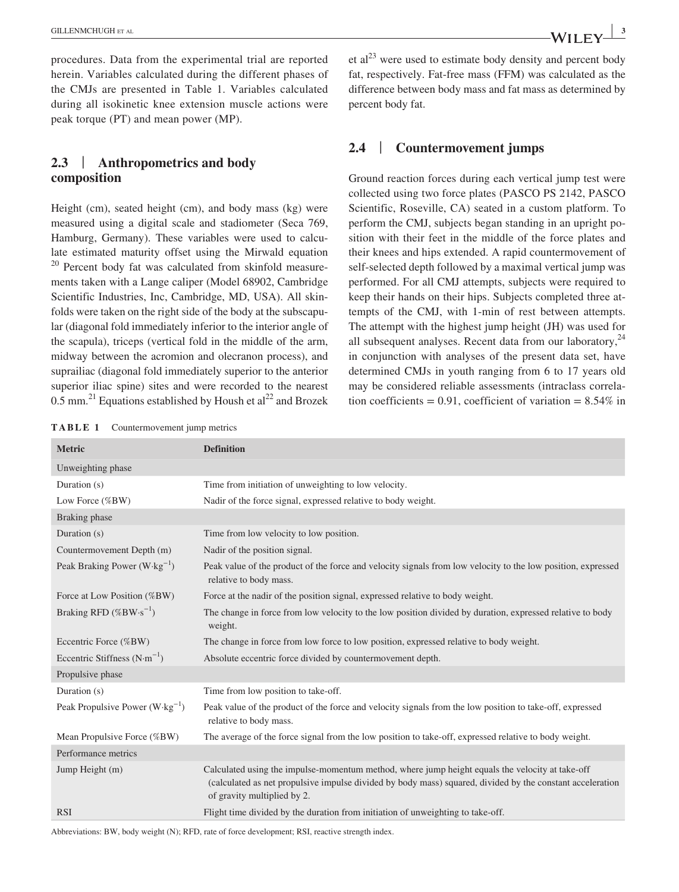procedures. Data from the experimental trial are reported herein. Variables calculated during the different phases of the CMJs are presented in Table 1. Variables calculated during all isokinetic knee extension muscle actions were peak torque (PT) and mean power (MP).

### **2.3** | **Anthropometrics and body composition**

Height (cm), seated height (cm), and body mass (kg) were measured using a digital scale and stadiometer (Seca 769, Hamburg, Germany). These variables were used to calculate estimated maturity offset using the Mirwald equation  $20$  Percent body fat was calculated from skinfold measurements taken with a Lange caliper (Model 68902, Cambridge Scientific Industries, Inc, Cambridge, MD, USA). All skinfolds were taken on the right side of the body at the subscapular (diagonal fold immediately inferior to the interior angle of the scapula), triceps (vertical fold in the middle of the arm, midway between the acromion and olecranon process), and suprailiac (diagonal fold immediately superior to the anterior superior iliac spine) sites and were recorded to the nearest 0.5 mm.<sup>21</sup> Equations established by Housh et al<sup>22</sup> and Brozek

et  $al^{23}$  were used to estimate body density and percent body fat, respectively. Fat-free mass (FFM) was calculated as the difference between body mass and fat mass as determined by percent body fat.

#### **2.4** | **Countermovement jumps**

Ground reaction forces during each vertical jump test were collected using two force plates (PASCO PS 2142, PASCO Scientific, Roseville, CA) seated in a custom platform. To perform the CMJ, subjects began standing in an upright position with their feet in the middle of the force plates and their knees and hips extended. A rapid countermovement of self-selected depth followed by a maximal vertical jump was performed. For all CMJ attempts, subjects were required to keep their hands on their hips. Subjects completed three attempts of the CMJ, with 1-min of rest between attempts. The attempt with the highest jump height (JH) was used for all subsequent analyses. Recent data from our laboratory,  $24$ in conjunction with analyses of the present data set, have determined CMJs in youth ranging from 6 to 17 years old may be considered reliable assessments (intraclass correlation coefficients =  $0.91$ , coefficient of variation =  $8.54\%$  in

**TABLE 1** Countermovement jump metrics

| <b>Metric</b>                             | <b>Definition</b>                                                                                                                                                                                                                           |
|-------------------------------------------|---------------------------------------------------------------------------------------------------------------------------------------------------------------------------------------------------------------------------------------------|
| Unweighting phase                         |                                                                                                                                                                                                                                             |
| Duration (s)                              | Time from initiation of unweighting to low velocity.                                                                                                                                                                                        |
| Low Force $(\%BW)$                        | Nadir of the force signal, expressed relative to body weight.                                                                                                                                                                               |
| Braking phase                             |                                                                                                                                                                                                                                             |
| Duration (s)                              | Time from low velocity to low position.                                                                                                                                                                                                     |
| Countermovement Depth (m)                 | Nadir of the position signal.                                                                                                                                                                                                               |
| Peak Braking Power $(W \cdot kg^{-1})$    | Peak value of the product of the force and velocity signals from low velocity to the low position, expressed<br>relative to body mass.                                                                                                      |
| Force at Low Position (%BW)               | Force at the nadir of the position signal, expressed relative to body weight.                                                                                                                                                               |
| Braking RFD $(\%BW \cdot s^{-1})$         | The change in force from low velocity to the low position divided by duration, expressed relative to body<br>weight.                                                                                                                        |
| Eccentric Force (%BW)                     | The change in force from low force to low position, expressed relative to body weight.                                                                                                                                                      |
| Eccentric Stiffness $(N \cdot m^{-1})$    | Absolute eccentric force divided by countermovement depth.                                                                                                                                                                                  |
| Propulsive phase                          |                                                                                                                                                                                                                                             |
| Duration (s)                              | Time from low position to take-off.                                                                                                                                                                                                         |
| Peak Propulsive Power $(W \cdot kg^{-1})$ | Peak value of the product of the force and velocity signals from the low position to take-off, expressed<br>relative to body mass.                                                                                                          |
| Mean Propulsive Force (%BW)               | The average of the force signal from the low position to take-off, expressed relative to body weight.                                                                                                                                       |
| Performance metrics                       |                                                                                                                                                                                                                                             |
| Jump Height (m)                           | Calculated using the impulse-momentum method, where jump height equals the velocity at take-off<br>(calculated as net propulsive impulse divided by body mass) squared, divided by the constant acceleration<br>of gravity multiplied by 2. |
| <b>RSI</b>                                | Flight time divided by the duration from initiation of unweighting to take-off.                                                                                                                                                             |
|                                           |                                                                                                                                                                                                                                             |

Abbreviations: BW, body weight (N); RFD, rate of force development; RSI, reactive strength index.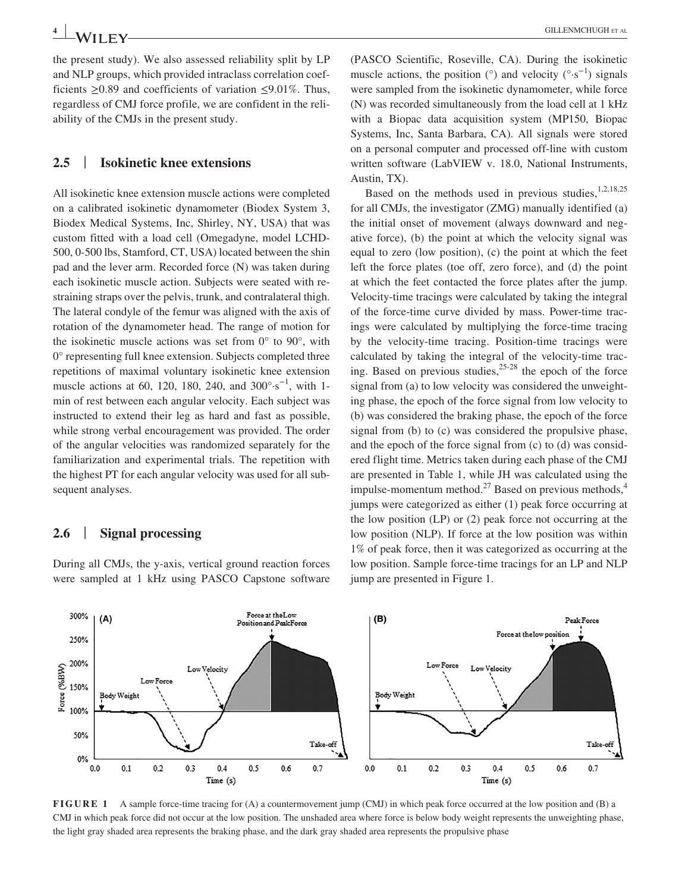the present study). We also assessed reliability split by LP and NLP groups, which provided intraclass correlation coefficients ≥0.89 and coefficients of variation ≤9.01%. Thus, regardless of CMJ force profile, we are confident in the reliability of the CMJs in the present study.

### **2.5** | **Isokinetic knee extensions**

All isokinetic knee extension muscle actions were completed on a calibrated isokinetic dynamometer (Biodex System 3, Biodex Medical Systems, Inc, Shirley, NY, USA) that was custom fitted with a load cell (Omegadyne, model LCHD-500, 0-500 lbs, Stamford, CT, USA) located between the shin pad and the lever arm. Recorded force (N) was taken during each isokinetic muscle action. Subjects were seated with restraining straps over the pelvis, trunk, and contralateral thigh. The lateral condyle of the femur was aligned with the axis of rotation of the dynamometer head. The range of motion for the isokinetic muscle actions was set from 0° to 90°, with 0° representing full knee extension. Subjects completed three repetitions of maximal voluntary isokinetic knee extension muscle actions at 60, 120, 180, 240, and  $300^{\circ} \cdot s^{-1}$ , with 1min of rest between each angular velocity. Each subject was instructed to extend their leg as hard and fast as possible, while strong verbal encouragement was provided. The order of the angular velocities was randomized separately for the familiarization and experimental trials. The repetition with the highest PT for each angular velocity was used for all subsequent analyses.

### **2.6** | **Signal processing**

During all CMJs, the y-axis, vertical ground reaction forces were sampled at 1 kHz using PASCO Capstone software (PASCO Scientific, Roseville, CA). During the isokinetic muscle actions, the position ( $\degree$ ) and velocity ( $\degree$ s<sup>-1</sup>) signals were sampled from the isokinetic dynamometer, while force (N) was recorded simultaneously from the load cell at 1 kHz with a Biopac data acquisition system (MP150, Biopac Systems, Inc, Santa Barbara, CA). All signals were stored on a personal computer and processed off-line with custom written software (LabVIEW v. 18.0, National Instruments, Austin, TX).

Based on the methods used in previous studies, $1,2,18,25$ for all CMJs, the investigator (ZMG) manually identified (a) the initial onset of movement (always downward and negative force), (b) the point at which the velocity signal was equal to zero (low position), (c) the point at which the feet left the force plates (toe off, zero force), and (d) the point at which the feet contacted the force plates after the jump. Velocity-time tracings were calculated by taking the integral of the force-time curve divided by mass. Power-time tracings were calculated by multiplying the force-time tracing by the velocity-time tracing. Position-time tracings were calculated by taking the integral of the velocity-time tracing. Based on previous studies,  $25-28$  the epoch of the force signal from (a) to low velocity was considered the unweighting phase, the epoch of the force signal from low velocity to (b) was considered the braking phase, the epoch of the force signal from (b) to (c) was considered the propulsive phase, and the epoch of the force signal from (c) to (d) was considered flight time. Metrics taken during each phase of the CMJ are presented in Table 1, while JH was calculated using the impulse-momentum method.<sup>27</sup> Based on previous methods,<sup>4</sup> jumps were categorized as either (1) peak force occurring at the low position (LP) or (2) peak force not occurring at the low position (NLP). If force at the low position was within 1% of peak force, then it was categorized as occurring at the low position. Sample force-time tracings for an LP and NLP jump are presented in Figure 1.



**FIGURE 1** A sample force-time tracing for (A) a countermovement jump (CMJ) in which peak force occurred at the low position and (B) a CMJ in which peak force did not occur at the low position. The unshaded area where force is below body weight represents the unweighting phase, the light gray shaded area represents the braking phase, and the dark gray shaded area represents the propulsive phase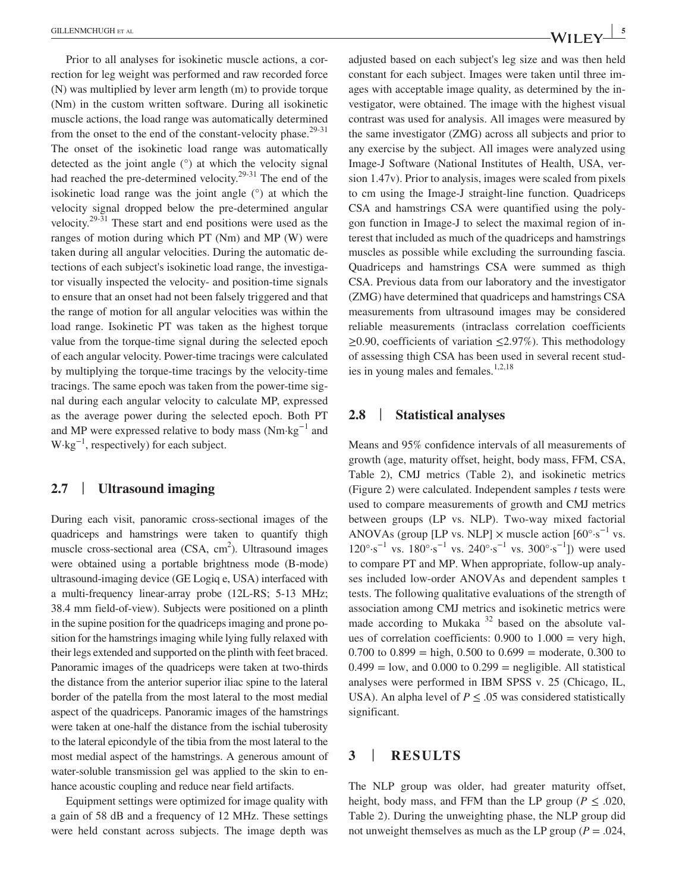Prior to all analyses for isokinetic muscle actions, a correction for leg weight was performed and raw recorded force (N) was multiplied by lever arm length (m) to provide torque (Nm) in the custom written software. During all isokinetic muscle actions, the load range was automatically determined from the onset to the end of the constant-velocity phase. $29-31$ The onset of the isokinetic load range was automatically detected as the joint angle (°) at which the velocity signal had reached the pre-determined velocity.<sup>29-31</sup> The end of the isokinetic load range was the joint angle (°) at which the velocity signal dropped below the pre-determined angular velocity.29-31 These start and end positions were used as the ranges of motion during which PT (Nm) and MP (W) were taken during all angular velocities. During the automatic detections of each subject's isokinetic load range, the investigator visually inspected the velocity- and position-time signals to ensure that an onset had not been falsely triggered and that the range of motion for all angular velocities was within the load range. Isokinetic PT was taken as the highest torque value from the torque-time signal during the selected epoch of each angular velocity. Power-time tracings were calculated by multiplying the torque-time tracings by the velocity-time tracings. The same epoch was taken from the power-time signal during each angular velocity to calculate MP, expressed as the average power during the selected epoch. Both PT and MP were expressed relative to body mass (Nm·kg−1 and  $W \cdot kg^{-1}$ , respectively) for each subject.

### **2.7** | **Ultrasound imaging**

During each visit, panoramic cross-sectional images of the quadriceps and hamstrings were taken to quantify thigh muscle cross-sectional area  $(CSA, cm^2)$ . Ultrasound images were obtained using a portable brightness mode (B-mode) ultrasound-imaging device (GE Logiq e, USA) interfaced with a multi-frequency linear-array probe (12L-RS; 5-13 MHz; 38.4 mm field-of-view). Subjects were positioned on a plinth in the supine position for the quadriceps imaging and prone position for the hamstrings imaging while lying fully relaxed with their legs extended and supported on the plinth with feet braced. Panoramic images of the quadriceps were taken at two-thirds the distance from the anterior superior iliac spine to the lateral border of the patella from the most lateral to the most medial aspect of the quadriceps. Panoramic images of the hamstrings were taken at one-half the distance from the ischial tuberosity to the lateral epicondyle of the tibia from the most lateral to the most medial aspect of the hamstrings. A generous amount of water-soluble transmission gel was applied to the skin to enhance acoustic coupling and reduce near field artifacts.

Equipment settings were optimized for image quality with a gain of 58 dB and a frequency of 12 MHz. These settings were held constant across subjects. The image depth was adjusted based on each subject's leg size and was then held constant for each subject. Images were taken until three images with acceptable image quality, as determined by the investigator, were obtained. The image with the highest visual contrast was used for analysis. All images were measured by the same investigator (ZMG) across all subjects and prior to any exercise by the subject. All images were analyzed using Image-J Software (National Institutes of Health, USA, version 1.47v). Prior to analysis, images were scaled from pixels to cm using the Image-J straight-line function. Quadriceps CSA and hamstrings CSA were quantified using the polygon function in Image-J to select the maximal region of interest that included as much of the quadriceps and hamstrings muscles as possible while excluding the surrounding fascia. Quadriceps and hamstrings CSA were summed as thigh CSA. Previous data from our laboratory and the investigator (ZMG) have determined that quadriceps and hamstrings CSA measurements from ultrasound images may be considered reliable measurements (intraclass correlation coefficients ≥0.90, coefficients of variation ≤2.97%). This methodology of assessing thigh CSA has been used in several recent studies in young males and females. $1,2,18$ 

#### **2.8** | **Statistical analyses**

Means and 95% confidence intervals of all measurements of growth (age, maturity offset, height, body mass, FFM, CSA, Table 2), CMJ metrics (Table 2), and isokinetic metrics (Figure 2) were calculated. Independent samples *t* tests were used to compare measurements of growth and CMJ metrics between groups (LP vs. NLP). Two-way mixed factorial ANOVAs (group [LP vs. NLP]  $\times$  muscle action  $[60^{\circ} \cdot s^{-1}$  vs.  $120^{\circ} \cdot s^{-1}$  vs.  $180^{\circ} \cdot s^{-1}$  vs.  $240^{\circ} \cdot s^{-1}$  vs.  $300^{\circ} \cdot s^{-1}$ ]) were used to compare PT and MP. When appropriate, follow-up analyses included low-order ANOVAs and dependent samples t tests. The following qualitative evaluations of the strength of association among CMJ metrics and isokinetic metrics were made according to Mukaka  $32$  based on the absolute values of correlation coefficients:  $0.900$  to  $1.000 =$  very high, 0.700 to  $0.899 =$  high, 0.500 to  $0.699 =$  moderate, 0.300 to  $0.499 =$ low, and  $0.000$  to  $0.299 =$  negligible. All statistical analyses were performed in IBM SPSS v. 25 (Chicago, IL, USA). An alpha level of  $P \leq .05$  was considered statistically significant.

### **3** | **RESULTS**

The NLP group was older, had greater maturity offset, height, body mass, and FFM than the LP group ( $P \leq .020$ , Table 2). During the unweighting phase, the NLP group did not unweight themselves as much as the LP group ( $P = .024$ ,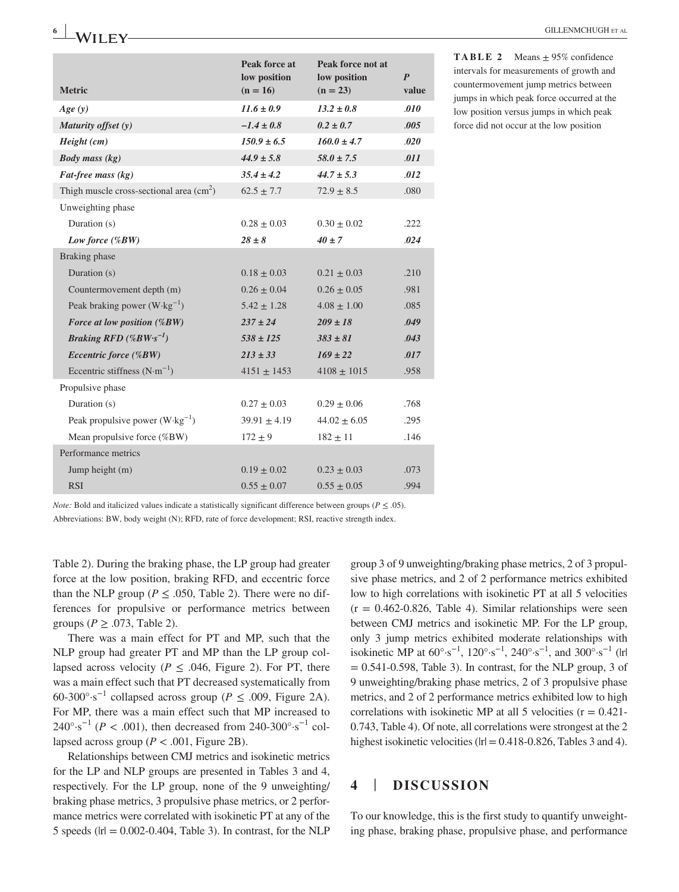| <b>Metric</b>                                            | Peak force at<br>low position<br>$(n = 16)$ | Peak force not at<br>low position<br>$(n = 23)$ | $\boldsymbol{P}$<br>value |
|----------------------------------------------------------|---------------------------------------------|-------------------------------------------------|---------------------------|
| Age(y)                                                   | $11.6 \pm 0.9$                              | $13.2 \pm 0.8$                                  | .010                      |
| Maturity offset (y)                                      | $-1.4 \pm 0.8$                              | $0.2 \pm 0.7$                                   | .005                      |
| Height (cm)                                              | $150.9 \pm 6.5$                             | $160.0 \pm 4.7$                                 | .020                      |
| <b>Body mass (kg)</b>                                    | $44.9 \pm 5.8$                              | $58.0 \pm 7.5$                                  | .011                      |
| Fat-free mass (kg)                                       | $35.4 \pm 4.2$                              | $44.7 \pm 5.3$                                  | .012                      |
| Thigh muscle cross-sectional area $\text{(cm}^2\text{)}$ | $62.5 \pm 7.7$                              | $72.9 \pm 8.5$                                  | .080                      |
| Unweighting phase                                        |                                             |                                                 |                           |
| Duration (s)                                             | $0.28 \pm 0.03$                             | $0.30 \pm 0.02$                                 | .222                      |
| Low force (%BW)                                          | $28 \pm 8$                                  | $40 \pm 7$                                      | .024                      |
| Braking phase                                            |                                             |                                                 |                           |
| Duration (s)                                             | $0.18 \pm 0.03$                             | $0.21 \pm 0.03$                                 | .210                      |
| Countermovement depth (m)                                | $0.26 \pm 0.04$                             | $0.26 \pm 0.05$                                 | .981                      |
| Peak braking power $(W \cdot kg^{-1})$                   | $5.42 \pm 1.28$                             | $4.08 \pm 1.00$                                 | .085                      |
| Force at low position (%BW)                              | $237 \pm 24$                                | $209 \pm 18$                                    | .049                      |
| Braking RFD $(\%BW \cdot s^{-1})$                        | $538 \pm 125$                               | $383 \pm 81$                                    | .043                      |
| Eccentric force (%BW)                                    | $213 \pm 33$                                | $169 \pm 22$                                    | .017                      |
| Eccentric stiffness $(N \cdot m^{-1})$                   | $4151 \pm 1453$                             | $4108 \pm 1015$                                 | .958                      |
| Propulsive phase                                         |                                             |                                                 |                           |
| Duration (s)                                             | $0.27 \pm 0.03$                             | $0.29 \pm 0.06$                                 | .768                      |
| Peak propulsive power $(W \cdot kg^{-1})$                | $39.91 \pm 4.19$                            | $44.02 \pm 6.05$                                | .295                      |
| Mean propulsive force (%BW)                              | $172 \pm 9$                                 | $182 \pm 11$                                    | .146                      |
| Performance metrics                                      |                                             |                                                 |                           |
| Jump height (m)                                          | $0.19 \pm 0.02$                             | $0.23 \pm 0.03$                                 | .073                      |
| <b>RSI</b>                                               | $0.55 \pm 0.07$                             | $0.55 \pm 0.05$                                 | .994                      |

**TABLE 2** Means  $\pm$  95% confidence intervals for measurements of growth and countermovement jump metrics between jumps in which peak force occurred at the low position versus jumps in which peak force did not occur at the low position

*Note:* Bold and italicized values indicate a statistically significant difference between groups ( $P \le 0.05$ ).

Abbreviations: BW, body weight (N); RFD, rate of force development; RSI, reactive strength index.

Table 2). During the braking phase, the LP group had greater force at the low position, braking RFD, and eccentric force than the NLP group ( $P \leq .050$ , Table 2). There were no differences for propulsive or performance metrics between groups ( $P \geq .073$ , Table 2).

There was a main effect for PT and MP, such that the NLP group had greater PT and MP than the LP group collapsed across velocity ( $P \leq .046$ , Figure 2). For PT, there was a main effect such that PT decreased systematically from 60-300°·s−1 collapsed across group (*P* ≤ .009, Figure 2A). For MP, there was a main effect such that MP increased to 240°⋅s<sup>-1</sup> (*P* < .001), then decreased from 240-300°⋅s<sup>-1</sup> collapsed across group ( $P < .001$ , Figure 2B).

Relationships between CMJ metrics and isokinetic metrics for the LP and NLP groups are presented in Tables 3 and 4, respectively. For the LP group, none of the 9 unweighting/ braking phase metrics, 3 propulsive phase metrics, or 2 performance metrics were correlated with isokinetic PT at any of the 5 speeds ( $|r| = 0.002 - 0.404$ , Table 3). In contrast, for the NLP

group 3 of 9 unweighting/braking phase metrics, 2 of 3 propulsive phase metrics, and 2 of 2 performance metrics exhibited low to high correlations with isokinetic PT at all 5 velocities  $(r = 0.462 - 0.826,$  Table 4). Similar relationships were seen between CMJ metrics and isokinetic MP. For the LP group, only 3 jump metrics exhibited moderate relationships with isokinetic MP at  $60^{\circ} \cdot s^{-1}$ ,  $120^{\circ} \cdot s^{-1}$ ,  $240^{\circ} \cdot s^{-1}$ , and  $300^{\circ} \cdot s^{-1}$  (|r|  $= 0.541 - 0.598$ , Table 3). In contrast, for the NLP group, 3 of 9 unweighting/braking phase metrics, 2 of 3 propulsive phase metrics, and 2 of 2 performance metrics exhibited low to high correlations with isokinetic MP at all 5 velocities  $(r = 0.421$ 0.743, Table 4). Of note, all correlations were strongest at the 2 highest isokinetic velocities ( $|r| = 0.418 - 0.826$ , Tables 3 and 4).

### **4** | **DISCUSSION**

To our knowledge, this is the first study to quantify unweighting phase, braking phase, propulsive phase, and performance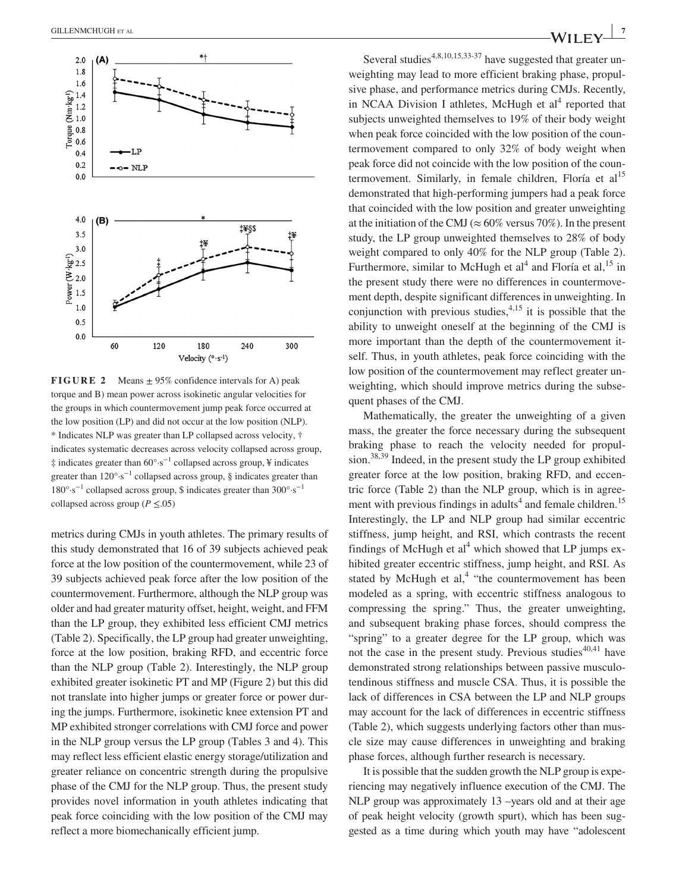

**FIGURE 2** Means  $\pm$  95% confidence intervals for A) peak torque and B) mean power across isokinetic angular velocities for the groups in which countermovement jump peak force occurred at the low position (LP) and did not occur at the low position (NLP). \* Indicates NLP was greater than LP collapsed across velocity, † indicates systematic decreases across velocity collapsed across group, ‡ indicates greater than 60°·s−1 collapsed across group, ¥ indicates greater than  $120^{\circ} \cdot s^{-1}$  collapsed across group, § indicates greater than 180°·s−1 collapsed across group, \$ indicates greater than 300°·s−1 collapsed across group ( $P \leq .05$ )

metrics during CMJs in youth athletes. The primary results of this study demonstrated that 16 of 39 subjects achieved peak force at the low position of the countermovement, while 23 of 39 subjects achieved peak force after the low position of the countermovement. Furthermore, although the NLP group was older and had greater maturity offset, height, weight, and FFM than the LP group, they exhibited less efficient CMJ metrics (Table 2). Specifically, the LP group had greater unweighting, force at the low position, braking RFD, and eccentric force than the NLP group (Table 2). Interestingly, the NLP group exhibited greater isokinetic PT and MP (Figure 2) but this did not translate into higher jumps or greater force or power during the jumps. Furthermore, isokinetic knee extension PT and MP exhibited stronger correlations with CMJ force and power in the NLP group versus the LP group (Tables 3 and 4). This may reflect less efficient elastic energy storage/utilization and greater reliance on concentric strength during the propulsive phase of the CMJ for the NLP group. Thus, the present study provides novel information in youth athletes indicating that peak force coinciding with the low position of the CMJ may reflect a more biomechanically efficient jump.

Several studies<sup>4,8,10,15,33-37</sup> have suggested that greater unweighting may lead to more efficient braking phase, propulsive phase, and performance metrics during CMJs. Recently, in NCAA Division I athletes, McHugh et  $al<sup>4</sup>$  reported that subjects unweighted themselves to 19% of their body weight when peak force coincided with the low position of the countermovement compared to only 32% of body weight when peak force did not coincide with the low position of the countermovement. Similarly, in female children, Floría et al<sup>15</sup> demonstrated that high-performing jumpers had a peak force that coincided with the low position and greater unweighting at the initiation of the CMJ ( $\approx 60\%$  versus 70%). In the present study, the LP group unweighted themselves to 28% of body weight compared to only 40% for the NLP group (Table 2). Furthermore, similar to McHugh et  $al<sup>4</sup>$  and Floría et  $al<sup>15</sup>$  in the present study there were no differences in countermovement depth, despite significant differences in unweighting. In conjunction with previous studies,  $4,15$  it is possible that the ability to unweight oneself at the beginning of the CMJ is more important than the depth of the countermovement itself. Thus, in youth athletes, peak force coinciding with the low position of the countermovement may reflect greater unweighting, which should improve metrics during the subsequent phases of the CMJ.

Mathematically, the greater the unweighting of a given mass, the greater the force necessary during the subsequent braking phase to reach the velocity needed for propulsion. $38,39$  Indeed, in the present study the LP group exhibited greater force at the low position, braking RFD, and eccentric force (Table 2) than the NLP group, which is in agreement with previous findings in adults<sup>4</sup> and female children.<sup>15</sup> Interestingly, the LP and NLP group had similar eccentric stiffness, jump height, and RSI, which contrasts the recent findings of McHugh et  $al<sup>4</sup>$  which showed that LP jumps exhibited greater eccentric stiffness, jump height, and RSI. As stated by McHugh et al,<sup>4</sup> "the countermovement has been modeled as a spring, with eccentric stiffness analogous to compressing the spring." Thus, the greater unweighting, and subsequent braking phase forces, should compress the "spring" to a greater degree for the LP group, which was not the case in the present study. Previous studies $40,41$  have demonstrated strong relationships between passive musculotendinous stiffness and muscle CSA. Thus, it is possible the lack of differences in CSA between the LP and NLP groups may account for the lack of differences in eccentric stiffness (Table 2), which suggests underlying factors other than muscle size may cause differences in unweighting and braking phase forces, although further research is necessary.

It is possible that the sudden growth the NLP group is experiencing may negatively influence execution of the CMJ. The NLP group was approximately 13 –years old and at their age of peak height velocity (growth spurt), which has been suggested as a time during which youth may have "adolescent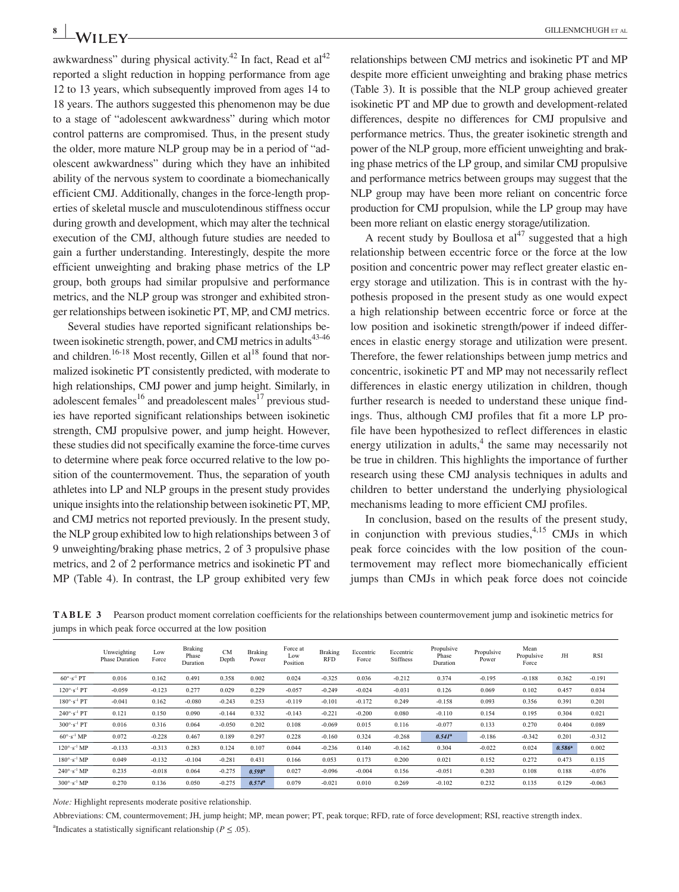awkwardness" during physical activity.<sup>42</sup> In fact, Read et al<sup>42</sup> reported a slight reduction in hopping performance from age 12 to 13 years, which subsequently improved from ages 14 to 18 years. The authors suggested this phenomenon may be due to a stage of "adolescent awkwardness" during which motor control patterns are compromised. Thus, in the present study the older, more mature NLP group may be in a period of "adolescent awkwardness" during which they have an inhibited ability of the nervous system to coordinate a biomechanically efficient CMJ. Additionally, changes in the force-length properties of skeletal muscle and musculotendinous stiffness occur during growth and development, which may alter the technical execution of the CMJ, although future studies are needed to gain a further understanding. Interestingly, despite the more efficient unweighting and braking phase metrics of the LP group, both groups had similar propulsive and performance metrics, and the NLP group was stronger and exhibited stronger relationships between isokinetic PT, MP, and CMJ metrics.

Several studies have reported significant relationships between isokinetic strength, power, and CMJ metrics in adults $43-46$ and children.<sup>16-18</sup> Most recently, Gillen et al<sup>18</sup> found that normalized isokinetic PT consistently predicted, with moderate to high relationships, CMJ power and jump height. Similarly, in adolescent females $^{16}$  and preadolescent males $^{17}$  previous studies have reported significant relationships between isokinetic strength, CMJ propulsive power, and jump height. However, these studies did not specifically examine the force-time curves to determine where peak force occurred relative to the low position of the countermovement. Thus, the separation of youth athletes into LP and NLP groups in the present study provides unique insights into the relationship between isokinetic PT, MP, and CMJ metrics not reported previously. In the present study, the NLP group exhibited low to high relationships between 3 of 9 unweighting/braking phase metrics, 2 of 3 propulsive phase metrics, and 2 of 2 performance metrics and isokinetic PT and MP (Table 4). In contrast, the LP group exhibited very few

relationships between CMJ metrics and isokinetic PT and MP despite more efficient unweighting and braking phase metrics (Table 3). It is possible that the NLP group achieved greater isokinetic PT and MP due to growth and development-related differences, despite no differences for CMJ propulsive and performance metrics. Thus, the greater isokinetic strength and power of the NLP group, more efficient unweighting and braking phase metrics of the LP group, and similar CMJ propulsive and performance metrics between groups may suggest that the NLP group may have been more reliant on concentric force production for CMJ propulsion, while the LP group may have been more reliant on elastic energy storage/utilization.

A recent study by Boullosa et  $al<sup>47</sup>$  suggested that a high relationship between eccentric force or the force at the low position and concentric power may reflect greater elastic energy storage and utilization. This is in contrast with the hypothesis proposed in the present study as one would expect a high relationship between eccentric force or force at the low position and isokinetic strength/power if indeed differences in elastic energy storage and utilization were present. Therefore, the fewer relationships between jump metrics and concentric, isokinetic PT and MP may not necessarily reflect differences in elastic energy utilization in children, though further research is needed to understand these unique findings. Thus, although CMJ profiles that fit a more LP profile have been hypothesized to reflect differences in elastic energy utilization in adults, $4$  the same may necessarily not be true in children. This highlights the importance of further research using these CMJ analysis techniques in adults and children to better understand the underlying physiological mechanisms leading to more efficient CMJ profiles.

In conclusion, based on the results of the present study, in conjunction with previous studies,  $4,15$  CMJs in which peak force coincides with the low position of the countermovement may reflect more biomechanically efficient jumps than CMJs in which peak force does not coincide

**TABLE 3** Pearson product moment correlation coefficients for the relationships between countermovement jump and isokinetic metrics for jumps in which peak force occurred at the low position

|                                 | Unweighting<br><b>Phase Duration</b> | Low<br>Force | <b>Braking</b><br>Phase<br>Duration | <b>CM</b><br>Depth | <b>Braking</b><br>Power | Force at<br>Low<br>Position | <b>Braking</b><br>RFD | Eccentric<br>Force | Eccentric<br>Stiffness | Propulsive<br>Phase<br>Duration | Propulsive<br>Power | Mean<br>Propulsive<br>Force | JH        | <b>RSI</b> |
|---------------------------------|--------------------------------------|--------------|-------------------------------------|--------------------|-------------------------|-----------------------------|-----------------------|--------------------|------------------------|---------------------------------|---------------------|-----------------------------|-----------|------------|
| $60^\circ \cdot s^{-1}$ PT      | 0.016                                | 0.162        | 0.491                               | 0.358              | 0.002                   | 0.024                       | $-0.325$              | 0.036              | $-0.212$               | 0.374                           | $-0.195$            | $-0.188$                    | 0.362     | $-0.191$   |
| $120^\circ \cdot s^{-1}$ PT     | $-0.059$                             | $-0.123$     | 0.277                               | 0.029              | 0.229                   | $-0.057$                    | $-0.249$              | $-0.024$           | $-0.031$               | 0.126                           | 0.069               | 0.102                       | 0.457     | 0.034      |
| $180^\circ \cdot s^{-1}$ PT     | $-0.041$                             | 0.162        | $-0.080$                            | $-0.243$           | 0.253                   | $-0.119$                    | $-0.101$              | $-0.172$           | 0.249                  | $-0.158$                        | 0.093               | 0.356                       | 0.391     | 0.201      |
| $240^\circ \cdot s^{-1}$ PT     | 0.121                                | 0.150        | 0.090                               | $-0.144$           | 0.332                   | $-0.143$                    | $-0.221$              | $-0.200$           | 0.080                  | $-0.110$                        | 0.154               | 0.195                       | 0.304     | 0.021      |
| $300^\circ \cdot s^{-1}$ PT     | 0.016                                | 0.316        | 0.064                               | $-0.050$           | 0.202                   | 0.108                       | $-0.069$              | 0.015              | 0.116                  | $-0.077$                        | 0.133               | 0.270                       | 0.404     | 0.089      |
| $60^{\circ}$ s <sup>-1</sup> MP | 0.072                                | $-0.228$     | 0.467                               | 0.189              | 0.297                   | 0.228                       | $-0.160$              | 0.324              | $-0.268$               | $0.541^a$                       | $-0.186$            | $-0.342$                    | 0.201     | $-0.312$   |
| $120^\circ \text{ s}^{-1}$ MP   | $-0.133$                             | $-0.313$     | 0.283                               | 0.124              | 0.107                   | 0.044                       | $-0.236$              | 0.140              | $-0.162$               | 0.304                           | $-0.022$            | 0.024                       | $0.586^a$ | 0.002      |
| $180^\circ \cdot s^{-1}$ MP     | 0.049                                | $-0.132$     | $-0.104$                            | $-0.281$           | 0.431                   | 0.166                       | 0.053                 | 0.173              | 0.200                  | 0.021                           | 0.152               | 0.272                       | 0.473     | 0.135      |
| $240^\circ \cdot s^{-1}$ MP     | 0.235                                | $-0.018$     | 0.064                               | $-0.275$           | $0.598^{\rm a}$         | 0.027                       | $-0.096$              | $-0.004$           | 0.156                  | $-0.051$                        | 0.203               | 0.108                       | 0.188     | $-0.076$   |
| $300^\circ \cdot s^{-1}$ MP     | 0.270                                | 0.136        | 0.050                               | $-0.275$           | $0.574^a$               | 0.079                       | $-0.021$              | 0.010              | 0.269                  | $-0.102$                        | 0.232               | 0.135                       | 0.129     | $-0.063$   |

*Note:* Highlight represents moderate positive relationship.

Abbreviations: CM, countermovement; JH, jump height; MP, mean power; PT, peak torque; RFD, rate of force development; RSI, reactive strength index. <sup>a</sup>Indicates a statistically significant relationship ( $P \leq .05$ ).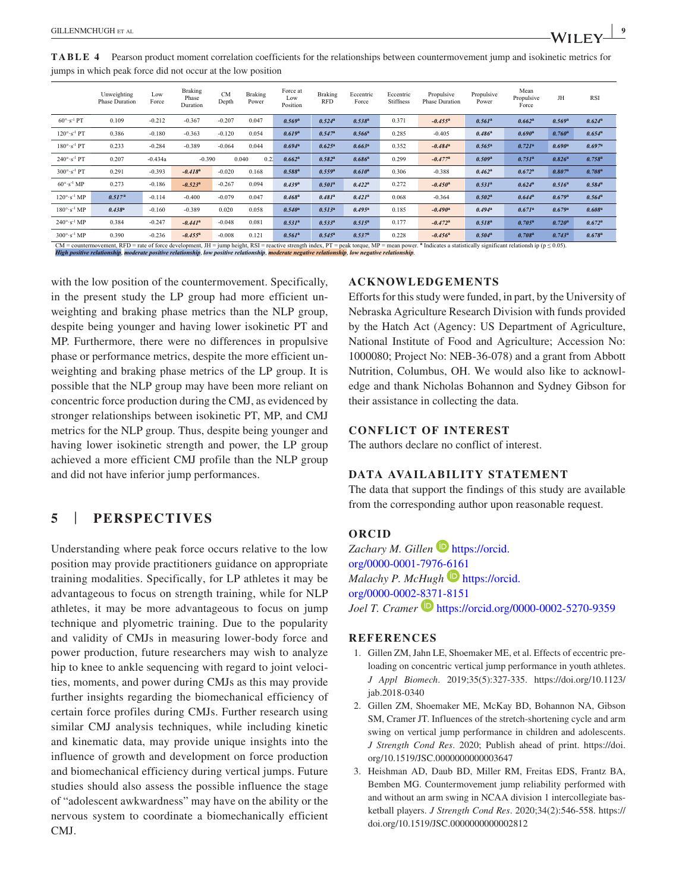|                                                                                                                                                                                                                                 | Unweighting<br><b>Phase Duration</b> | Low<br>Force | Braking<br>Phase<br>Duration | <b>CM</b><br>Depth | <b>Braking</b><br>Power | Force at<br>Low<br>Position | Braking<br><b>RFD</b> | Eccentric<br>Force | Eccentric<br><b>Stiffness</b> | Propulsive<br><b>Phase Duration</b> | Propulsive<br>Power | Mean<br>Propulsive<br>Force | JH                 | <b>RSI</b>           |
|---------------------------------------------------------------------------------------------------------------------------------------------------------------------------------------------------------------------------------|--------------------------------------|--------------|------------------------------|--------------------|-------------------------|-----------------------------|-----------------------|--------------------|-------------------------------|-------------------------------------|---------------------|-----------------------------|--------------------|----------------------|
| $60^\circ \cdot s^{-1}$ PT                                                                                                                                                                                                      | 0.109                                | $-0.212$     | $-0.367$                     | $-0.207$           | 0.047                   | 0.569a                      | $0.524^{a}$           | $0.538^{a}$        | 0.371                         | $-0.455^a$                          | $0.561^a$           | $0.662^a$                   | 0.569a             | $0.624^a$            |
| $120^\circ \cdot s^{-1}$ PT                                                                                                                                                                                                     | 0.386                                | $-0.180$     | $-0.363$                     | $-0.120$           | 0.054                   | 0.619a                      | $0.547^a$             | $0.566^a$          | 0.285                         | $-0.405$                            | $0.486^a$           | $0.690^{\rm a}$             | $0.760^a$          | $0.654^{\rm a}$      |
| $180^\circ \cdot s^{-1}$ PT                                                                                                                                                                                                     | 0.233                                | $-0.284$     | $-0.389$                     | $-0.064$           | 0.044                   | $0.694^a$                   | $0.625^a$             | $0.663^a$          | 0.352                         | $-0.484$ <sup>a</sup>               | $0.565^{\rm a}$     | $0.721^a$                   | $0.690^{\rm a}$    | $0.697$ <sup>a</sup> |
| $240^\circ \cdot s^{-1}$ PT                                                                                                                                                                                                     | 0.207                                | $-0.434a$    | $-0.390$                     |                    | 0.040<br>0.21           | 0.662 <sup>a</sup>          | $0.582^{a}$           | $0.686^{\rm a}$    | 0.299                         | $-0.477$ <sup>a</sup>               | 0.509a              | $0.751^a$                   | $0.826^a$          | $0.758^{\rm a}$      |
| $300^\circ \cdot s^{-1}$ PT                                                                                                                                                                                                     | 0.291                                | $-0.393$     | $-0.418^a$                   | $-0.020$           | 0.168                   | $0.588^{a}$                 | $0.559^{a}$           | $0.610^a$          | 0.306                         | $-0.388$                            | $0.462^a$           | $0.672$ <sup>a</sup>        | 0.807 <sup>a</sup> | $0.708^a$            |
| $60^{\circ}$ s <sup>-1</sup> MP                                                                                                                                                                                                 | 0.273                                | $-0.186$     | $-0.523$ <sup>a</sup>        | $-0.267$           | 0.094                   | 0.439 <sup>a</sup>          | $0.501^a$             | $0.422^a$          | 0.272                         | $-0.450^a$                          | $0.531^{a}$         | $0.624^a$                   | $0.516^a$          | $0.584^{a}$          |
| $120^\circ \cdot s^{-1}$ MP                                                                                                                                                                                                     | $0.517^{a}$                          | $-0.114$     | $-0.400$                     | $-0.079$           | 0.047                   | $0.468^a$                   | $0.481^a$             | $0.421^a$          | 0.068                         | $-0.364$                            | $0.502^a$           | $0.644^a$                   | $0.679^{a}$        | $0.564^a$            |
| $180^\circ \cdot s^{-1}$ MP                                                                                                                                                                                                     | $0.438^{a}$                          | $-0.160$     | $-0.389$                     | 0.020              | 0.058                   | $0.540^a$                   | $0.513^{a}$           | $0.495^{\rm a}$    | 0.185                         | $-0.490$ <sup>a</sup>               | $0.494^a$           | $0.671^a$                   | 0.679a             | $0.608^{\rm a}$      |
| $240^\circ \cdot s^{-1}$ MP                                                                                                                                                                                                     | 0.384                                | $-0.247$     | $-0.441$ <sup>a</sup>        | $-0.048$           | 0.081                   | $0.531^{a}$                 | 0.533 <sup>a</sup>    | $0.515^a$          | 0.177                         | $-0.472$ <sup>a</sup>               | $0.518^{\rm a}$     | $0.705^a$                   | $0.720^a$          | $0.672^a$            |
| $300^\circ \cdot s^{-1}$ MP                                                                                                                                                                                                     | 0.390                                | $-0.236$     | $-0.455^a$                   | $-0.008$           | 0.121                   | $0.561^a$                   | $0.545^{\rm a}$       | 0.537 <sup>a</sup> | 0.228                         | $-0.456^a$                          | $0.504^a$           | $0.708^a$                   | $0.743^a$          | $0.678^{\rm a}$      |
| $CM$ = countermovement, RFD = rate of force development, JH = jump height, RSI = reactive strength index, PT = peak torque, MP = mean power. <sup>a</sup> Indicates a statistically significant relationsh ip ( $p \le 0.05$ ). |                                      |              |                              |                    |                         |                             |                       |                    |                               |                                     |                     |                             |                    |                      |

*High positive relationship*, *moderate positive relationship*, *low positive relationship*, *moderate negative relationship*, *low negative relationship*.

with the low position of the countermovement. Specifically, in the present study the LP group had more efficient unweighting and braking phase metrics than the NLP group, despite being younger and having lower isokinetic PT and MP. Furthermore, there were no differences in propulsive phase or performance metrics, despite the more efficient unweighting and braking phase metrics of the LP group. It is possible that the NLP group may have been more reliant on concentric force production during the CMJ, as evidenced by stronger relationships between isokinetic PT, MP, and CMJ metrics for the NLP group. Thus, despite being younger and having lower isokinetic strength and power, the LP group achieved a more efficient CMJ profile than the NLP group and did not have inferior jump performances.

### **5** | **PERSPECTIVES**

Understanding where peak force occurs relative to the low position may provide practitioners guidance on appropriate training modalities. Specifically, for LP athletes it may be advantageous to focus on strength training, while for NLP athletes, it may be more advantageous to focus on jump technique and plyometric training. Due to the popularity and validity of CMJs in measuring lower-body force and power production, future researchers may wish to analyze hip to knee to ankle sequencing with regard to joint velocities, moments, and power during CMJs as this may provide further insights regarding the biomechanical efficiency of certain force profiles during CMJs. Further research using similar CMJ analysis techniques, while including kinetic and kinematic data, may provide unique insights into the influence of growth and development on force production and biomechanical efficiency during vertical jumps. Future studies should also assess the possible influence the stage of "adolescent awkwardness" may have on the ability or the nervous system to coordinate a biomechanically efficient CMJ.

#### **ACKNOWLEDGEMENTS**

Efforts for this study were funded, in part, by the University of Nebraska Agriculture Research Division with funds provided by the Hatch Act (Agency: US Department of Agriculture, National Institute of Food and Agriculture; Accession No: 1000080; Project No: NEB-36-078) and a grant from Abbott Nutrition, Columbus, OH. We would also like to acknowledge and thank Nicholas Bohannon and Sydney Gibson for their assistance in collecting the data.

#### **CONFLICT OF INTEREST**

The authors declare no conflict of interest.

#### **DATA AVAILABILITY STATEMENT**

The data that support the findings of this study are available from the corresponding author upon reasonable request.

#### **ORCID**

Zachary *M. Gillen* **[https://orcid.](https://orcid.org/0000-0001-7976-6161)** [org/0000-0001-7976-6161](https://orcid.org/0000-0001-7976-6161) *Malachy P. McHugh* **[https://orcid.](https://orcid.org/0000-0002-8371-8151)** [org/0000-0002-8371-8151](https://orcid.org/0000-0002-8371-8151) *Joel T. Cramer* **b** <https://orcid.org/0000-0002-5270-9359>

#### **REFERENCES**

- 1. Gillen ZM, Jahn LE, Shoemaker ME, et al. Effects of eccentric preloading on concentric vertical jump performance in youth athletes. *J Appl Biomech*. 2019;35(5):327-335. [https://doi.org/10.1123/](https://doi.org/10.1123/jab.2018-0340) [jab.2018-0340](https://doi.org/10.1123/jab.2018-0340)
- 2. Gillen ZM, Shoemaker ME, McKay BD, Bohannon NA, Gibson SM, Cramer JT. Influences of the stretch-shortening cycle and arm swing on vertical jump performance in children and adolescents. *J Strength Cond Res*. 2020; Publish ahead of print. [https://doi.](https://doi.org/10.1519/JSC.0000000000003647) [org/10.1519/JSC.0000000000003647](https://doi.org/10.1519/JSC.0000000000003647)
- 3. Heishman AD, Daub BD, Miller RM, Freitas EDS, Frantz BA, Bemben MG. Countermovement jump reliability performed with and without an arm swing in NCAA division 1 intercollegiate basketball players. *J Strength Cond Res*. 2020;34(2):546-558. [https://](https://doi.org/10.1519/JSC.0000000000002812) [doi.org/10.1519/JSC.0000000000002812](https://doi.org/10.1519/JSC.0000000000002812)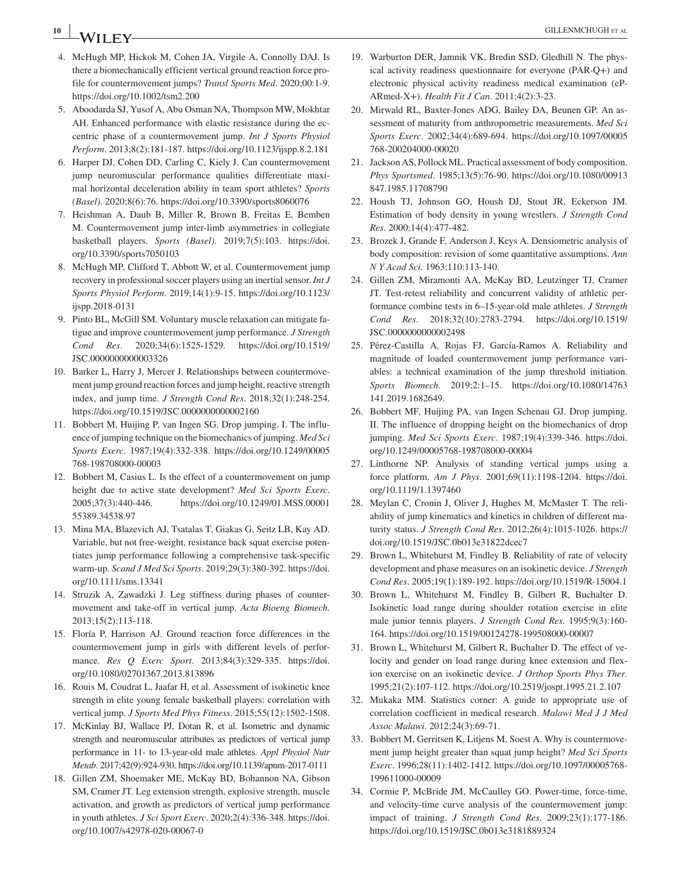## **10 i b c CILLENMCHUGH** et a

- 4. McHugh MP, Hickok M, Cohen JA, Virgile A, Connolly DAJ. Is there a biomechanically efficient vertical ground reaction force profile for countermovement jumps? *Transl Sports Med*. 2020;00:1-9. <https://doi.org/10.1002/tsm2.200>
- 5. Aboodarda SJ, Yusof A, Abu Osman NA, Thompson MW, Mokhtar AH. Enhanced performance with elastic resistance during the eccentric phase of a countermovement jump. *Int J Sports Physiol Perform*. 2013;8(2):181-187.<https://doi.org/10.1123/ijspp.8.2.181>
- 6. Harper DJ, Cohen DD, Carling C, Kiely J. Can countermovement jump neuromuscular performance qualities differentiate maximal horizontal deceleration ability in team sport athletes? *Sports (Basel)*. 2020;8(6):76. <https://doi.org/10.3390/sports8060076>
- 7. Heishman A, Daub B, Miller R, Brown B, Freitas E, Bemben M. Countermovement jump inter-limb asymmetries in collegiate basketball players. *Sports (Basel)*. 2019;7(5):103. [https://doi.](https://doi.org/10.3390/sports7050103) [org/10.3390/sports7050103](https://doi.org/10.3390/sports7050103)
- 8. McHugh MP, Clifford T, Abbott W, et al. Countermovement jump recovery in professional soccer players using an inertial sensor. *Int J Sports Physiol Perform*. 2019;14(1):9-15. [https://doi.org/10.1123/](https://doi.org/10.1123/ijspp.2018-0131) [ijspp.2018-0131](https://doi.org/10.1123/ijspp.2018-0131)
- 9. Pinto BL, McGill SM. Voluntary muscle relaxation can mitigate fatigue and improve countermovement jump performance. *J Strength Cond Res*. 2020;34(6):1525-1529. [https://doi.org/10.1519/](https://doi.org/10.1519/JSC.0000000000003326) [JSC.0000000000003326](https://doi.org/10.1519/JSC.0000000000003326)
- 10. Barker L, Harry J, Mercer J. Relationships between countermovement jump ground reaction forces and jump height, reactive strength index, and jump time. *J Strength Cond Res*. 2018;32(1):248-254. <https://doi.org/10.1519/JSC.0000000000002160>
- 11. Bobbert M, Huijing P, van Ingen SG. Drop jumping. I. The influence of jumping technique on the biomechanics of jumping. *Med Sci Sports Exerc*. 1987;19(4):332-338. [https://doi.org/10.1249/00005](https://doi.org/10.1249/00005768-198708000-00003) [768-198708000-00003](https://doi.org/10.1249/00005768-198708000-00003)
- 12. Bobbert M, Casius L. Is the effect of a countermovement on jump height due to active state development? *Med Sci Sports Exerc*. 2005;37(3):440-446. [https://doi.org/10.1249/01.MSS.00001](https://doi.org/10.1249/01.MSS.0000155389.34538.97) [55389.34538.97](https://doi.org/10.1249/01.MSS.0000155389.34538.97)
- 13. Mina MA, Blazevich AJ, Tsatalas T, Giakas G, Seitz LB, Kay AD. Variable, but not free-weight, resistance back squat exercise potentiates jump performance following a comprehensive task-specific warm-up. *Scand J Med Sci Sports*. 2019;29(3):380-392. [https://doi.](https://doi.org/10.1111/sms.13341) [org/10.1111/sms.13341](https://doi.org/10.1111/sms.13341)
- 14. Struzik A, Zawadzki J. Leg stiffness during phases of countermovement and take-off in vertical jump. *Acta Bioeng Biomech*. 2013;15(2):113-118.
- 15. Floría P, Harrison AJ. Ground reaction force differences in the countermovement jump in girls with different levels of performance. *Res Q Exerc Sport*. 2013;84(3):329-335. [https://doi.](https://doi.org/10.1080/02701367.2013.813896) [org/10.1080/02701367.2013.813896](https://doi.org/10.1080/02701367.2013.813896)
- 16. Rouis M, Coudrat L, Jaafar H, et al. Assessment of isokinetic knee strength in elite young female basketball players: correlation with vertical jump. *J Sports Med Phys Fitness*. 2015;55(12):1502-1508.
- 17. McKinlay BJ, Wallace PJ, Dotan R, et al. Isometric and dynamic strength and neuromuscular attributes as predictors of vertical jump performance in 11- to 13-year-old male athletes. *Appl Physiol Nutr Metab*. 2017;42(9):924-930. <https://doi.org/10.1139/apnm-2017-0111>
- 18. Gillen ZM, Shoemaker ME, McKay BD, Bohannon NA, Gibson SM, Cramer JT. Leg extension strength, explosive strength, muscle activation, and growth as predictors of vertical jump performance in youth athletes. *J Sci Sport Exerc*. 2020;2(4):336-348. [https://doi.](https://doi.org/10.1007/s42978-020-00067-0) [org/10.1007/s42978-020-00067-0](https://doi.org/10.1007/s42978-020-00067-0)
- 19. Warburton DER, Jamnik VK, Bredin SSD, Gledhill N. The physical activity readiness questionnaire for everyone (PAR-Q+) and electronic physical activity readiness medical examination (eP-ARmed-X+). *Health Fit J Can*. 2011;4(2):3-23.
- 20. Mirwald RL, Baxter-Jones ADG, Bailey DA, Beunen GP. An assessment of maturity from anthropometric measurements. *Med Sci Sports Exerc*. 2002;34(4):689-694. [https://doi.org/10.1097/00005](https://doi.org/10.1097/00005768-200204000-00020) [768-200204000-00020](https://doi.org/10.1097/00005768-200204000-00020)
- 21. Jackson AS, Pollock ML. Practical assessment of body composition. *Phys Sportsmed*. 1985;13(5):76-90. [https://doi.org/10.1080/00913](https://doi.org/10.1080/00913847.1985.11708790) [847.1985.11708790](https://doi.org/10.1080/00913847.1985.11708790)
- 22. Housh TJ, Johnson GO, Housh DJ, Stout JR, Eckerson JM. Estimation of body density in young wrestlers. *J Strength Cond Res*. 2000;14(4):477-482.
- 23. Brozek J, Grande F, Anderson J, Keys A. Densiometric analysis of body composition: revision of some quantitative assumptions. *Ann N Y Acad Sci*. 1963;110:113-140.
- 24. Gillen ZM, Miramonti AA, McKay BD, Leutzinger TJ, Cramer JT. Test-retest reliability and concurrent validity of athletic performance combine tests in 6–15-year-old male athletes. *J Strength Cond Res*. 2018;32(10):2783-2794. [https://doi.org/10.1519/](https://doi.org/10.1519/JSC.0000000000002498) [JSC.0000000000002498](https://doi.org/10.1519/JSC.0000000000002498)
- 25. Pérez-Castilla A, Rojas FJ, García-Ramos A. Reliability and magnitude of loaded countermovement jump performance variables: a technical examination of the jump threshold initiation. *Sports Biomech*. 2019;2:1–15. [https://doi.org/10.1080/14763](https://doi.org/10.1080/14763141.2019.1682649) [141.2019.1682649](https://doi.org/10.1080/14763141.2019.1682649).
- 26. Bobbert MF, Huijing PA, van Ingen Schenau GJ. Drop jumping. II. The influence of dropping height on the biomechanics of drop jumping. *Med Sci Sports Exerc*. 1987;19(4):339-346. [https://doi.](https://doi.org/10.1249/00005768-198708000-00004) [org/10.1249/00005768-198708000-00004](https://doi.org/10.1249/00005768-198708000-00004)
- 27. Linthorne NP. Analysis of standing vertical jumps using a force platform. *Am J Phys*. 2001;69(11):1198-1204. [https://doi.](https://doi.org/10.1119/1.1397460) [org/10.1119/1.1397460](https://doi.org/10.1119/1.1397460)
- 28. Meylan C, Cronin J, Oliver J, Hughes M, McMaster T. The reliability of jump kinematics and kinetics in children of different maturity status. *J Strength Cond Res*. 2012;26(4):1015-1026. [https://](https://doi.org/10.1519/JSC.0b013e31822dcec7) [doi.org/10.1519/JSC.0b013e31822dcec7](https://doi.org/10.1519/JSC.0b013e31822dcec7)
- 29. Brown L, Whitehurst M, Findley B. Reliability of rate of velocity development and phase measures on an isokinetic device. *J Strength Cond Res*. 2005;19(1):189-192.<https://doi.org/10.1519/R-15004.1>
- 30. Brown L, Whitehurst M, Findley B, Gilbert R, Buchalter D. Isokinetic load range during shoulder rotation exercise in elite male junior tennis players. *J Strength Cond Res*. 1995;9(3):160- 164. <https://doi.org/10.1519/00124278-199508000-00007>
- 31. Brown L, Whitehurst M, Gilbert R, Buchalter D. The effect of velocity and gender on load range during knee extension and flexion exercise on an isokinetic device. *J Orthop Sports Phys Ther*. 1995;21(2):107-112.<https://doi.org/10.2519/jospt.1995.21.2.107>
- 32. Mukaka MM. Statistics corner: A guide to appropriate use of correlation coefficient in medical research. *Malawi Med J J Med Assoc Malawi*. 2012;24(3):69-71.
- 33. Bobbert M, Gerritsen K, Litjens M, Soest A. Why is countermovement jump height greater than squat jump height? *Med Sci Sports Exerc*. 1996;28(11):1402-1412. [https://doi.org/10.1097/00005768-](https://doi.org/10.1097/00005768-199611000-00009) [199611000-00009](https://doi.org/10.1097/00005768-199611000-00009)
- 34. Cormie P, McBride JM, McCaulley GO. Power-time, force-time, and velocity-time curve analysis of the countermovement jump: impact of training. *J Strength Cond Res*. 2009;23(1):177-186. <https://doi.org/10.1519/JSC.0b013e3181889324>